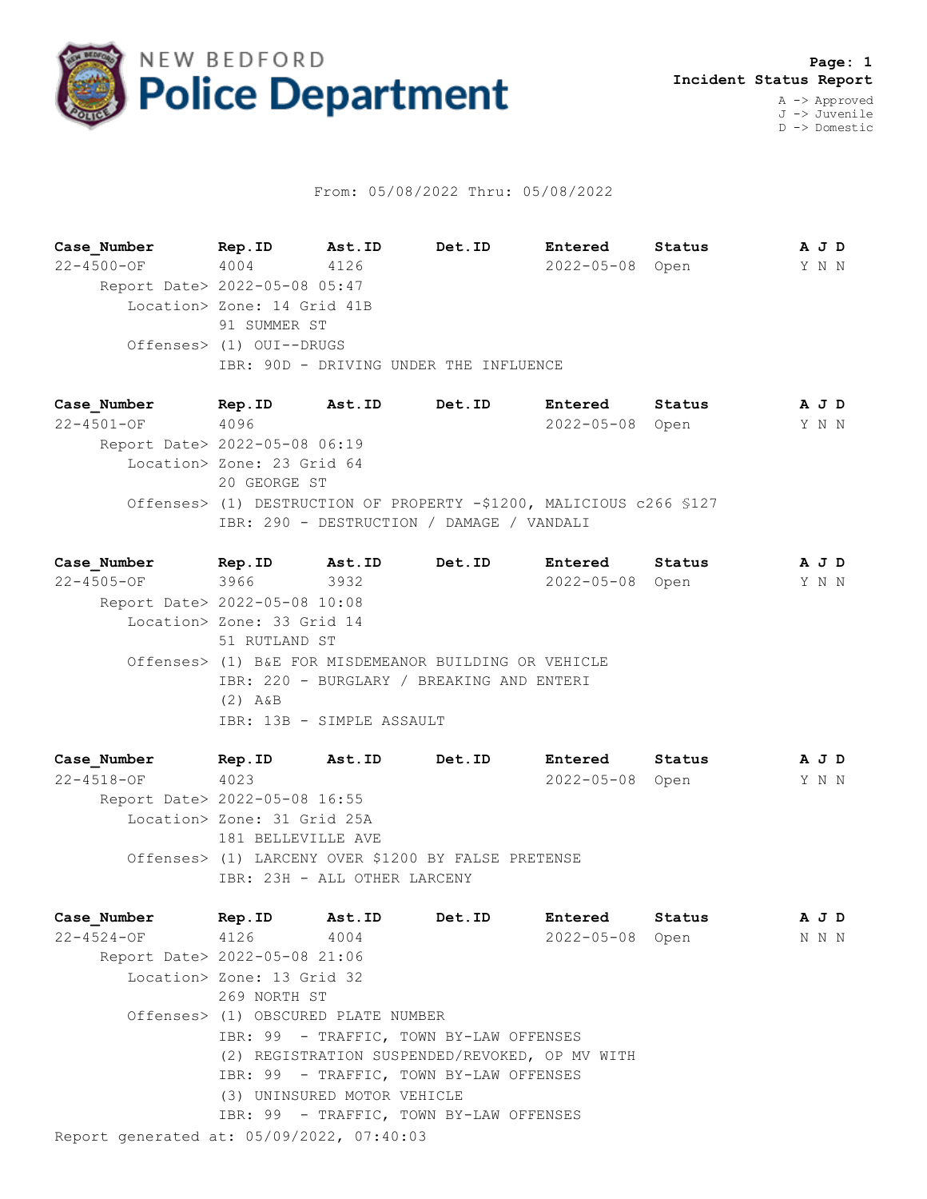

## From: 05/08/2022 Thru: 05/08/2022

**Case\_Number Rep.ID Ast.ID Det.ID Entered Status A J D** 22-4500-OF 4004 4126 2022-05-08 Open Y N N Report Date> 2022-05-08 05:47 Location> Zone: 14 Grid 41B 91 SUMMER ST Offenses> (1) OUI--DRUGS IBR: 90D - DRIVING UNDER THE INFLUENCE

**Case\_Number Rep.ID Ast.ID Det.ID Entered Status A J D** 22-4501-OF 4096 2022-05-08 Open Y N N Report Date> 2022-05-08 06:19 Location> Zone: 23 Grid 64 20 GEORGE ST Offenses> (1) DESTRUCTION OF PROPERTY -\$1200, MALICIOUS c266 §127 IBR: 290 - DESTRUCTION / DAMAGE / VANDALI

**Case\_Number Rep.ID Ast.ID Det.ID Entered Status A J D** 22-4505-OF 3966 3932 2022-05-08 Open Y N N Report Date> 2022-05-08 10:08 Location> Zone: 33 Grid 14 51 RUTLAND ST Offenses> (1) B&E FOR MISDEMEANOR BUILDING OR VEHICLE IBR: 220 - BURGLARY / BREAKING AND ENTERI (2) A&B IBR: 13B - SIMPLE ASSAULT

**Case\_Number Rep.ID Ast.ID Det.ID Entered Status A J D** 22-4518-OF 4023 2022-05-08 Open Y N N Report Date> 2022-05-08 16:55 Location> Zone: 31 Grid 25A 181 BELLEVILLE AVE Offenses> (1) LARCENY OVER \$1200 BY FALSE PRETENSE IBR: 23H - ALL OTHER LARCENY

Report generated at: 05/09/2022, 07:40:03 **Case\_Number Rep.ID Ast.ID Det.ID Entered Status A J D** 22-4524-OF 4126 4004 2022-05-08 Open N N N Report Date> 2022-05-08 21:06 Location> Zone: 13 Grid 32 269 NORTH ST Offenses> (1) OBSCURED PLATE NUMBER IBR: 99 - TRAFFIC, TOWN BY-LAW OFFENSES (2) REGISTRATION SUSPENDED/REVOKED, OP MV WITH IBR: 99 - TRAFFIC, TOWN BY-LAW OFFENSES (3) UNINSURED MOTOR VEHICLE IBR: 99 - TRAFFIC, TOWN BY-LAW OFFENSES